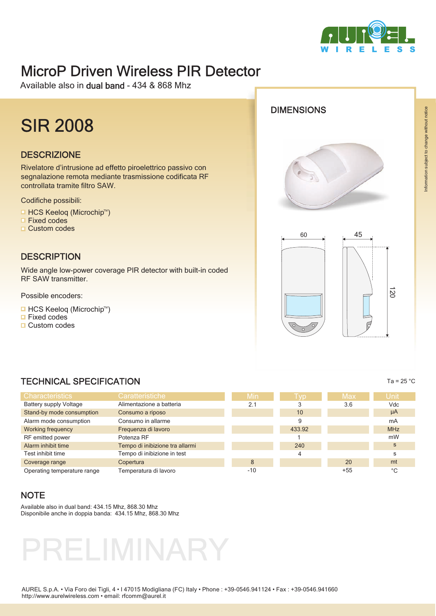

# MicroP Driven Wireless PIR Detector

Available also in dual band - 434 & 868 Mhz

# SIR 2008

#### **DESCRIZIONE**

Rivelatore d'intrusione ad effetto piroelettrico passivo con segnalazione remota mediante trasmissione codificata RF controllata tramite filtro SAW.

Codifiche possibili:

- HCS Keeloq (Microchip™)
- Fixed codes  $\Box$
- □ Custom codes

#### **DESCRIPTION**

Wide angle low-power coverage PIR detector with built-in coded RF SAW transmitter.

Possible encoders:

- HCS Keeloq (Microchip™)
- $\Box$  Fixed codes
- □ Custom codes







| <b>TECHNICAL SPECIFICATION</b> |                                 |       |            |            | Ta = $25 °C$ |
|--------------------------------|---------------------------------|-------|------------|------------|--------------|
| <b>Characteristics</b>         | Caratteristiche                 | Min   | <b>Tvp</b> | <b>Max</b> | <b>Unit</b>  |
| <b>Battery supply Voltage</b>  | Alimentazione a batteria        | 2.1   | 3          | 3.6        | Vdc          |
| Stand-by mode consumption      | Consumo a riposo                |       | 10         |            | $\mu$ A      |
| Alarm mode consumption         | Consumo in allarme              |       | 9          |            | mA           |
| <b>Working frequency</b>       | Frequenza di lavoro             |       | 433.92     |            | <b>MHz</b>   |
| RF emitted power               | Potenza RF                      |       |            |            | mW           |
| Alarm inhibit time             | Tempo di inibizione tra allarmi |       | 240        |            | S            |
| Test inhibit time              | Tempo di inibizione in test     |       | 4          |            | s            |
| Coverage range                 | Copertura                       | 8     |            | 20         | mt           |
| Operating temperature range    | Temperatura di lavoro           | $-10$ |            | $+55$      | °С           |

#### **NOTE**

Available also in dual band: 434.15 Mhz, 868.30 Mhz Disponibile anche in doppia banda: 434.15 Mhz, 868.30 Mhz



Information subject to change without notice

nformation subject to change without notice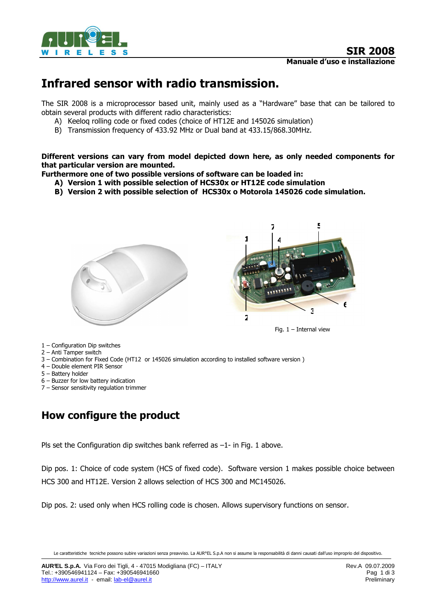

# Infrared sensor with radio transmission.

The SIR 2008 is a microprocessor based unit, mainly used as a "Hardware" base that can be tailored to obtain several products with different radio characteristics:

- A) Keeloq rolling code or fixed codes (choice of HT12E and 145026 simulation)
- B) Transmission frequency of 433.92 MHz or Dual band at 433.15/868.30MHz.

Different versions can vary from model depicted down here, as only needed components for that particular version are mounted.

- Furthermore one of two possible versions of software can be loaded in:
	- A) Version 1 with possible selection of HCS30x or HT12E code simulation
	- B) Version 2 with possible selection of HCS30x o Motorola 145026 code simulation.



- 1 Configuration Dip switches
- 2 Anti Tamper switch
- 3 Combination for Fixed Code (HT12 or 145026 simulation according to installed software version )
- 4 Double element PIR Sensor
- 5 Battery holder
- 6 Buzzer for low battery indication
- 7 Sensor sensitivity regulation trimmer

## How configure the product

Pls set the Configuration dip switches bank referred as –1- in Fig. 1 above.

Dip pos. 1: Choice of code system (HCS of fixed code). Software version 1 makes possible choice between HCS 300 and HT12E. Version 2 allows selection of HCS 300 and MC145026.

Dip pos. 2: used only when HCS rolling code is chosen. Allows supervisory functions on sensor.

Le caratteristiche tecniche possono subire variazioni senza preavviso. La AUR°EL S.p.A non si assume la responsabilità di danni causati dall'uso improprio del dispositivo.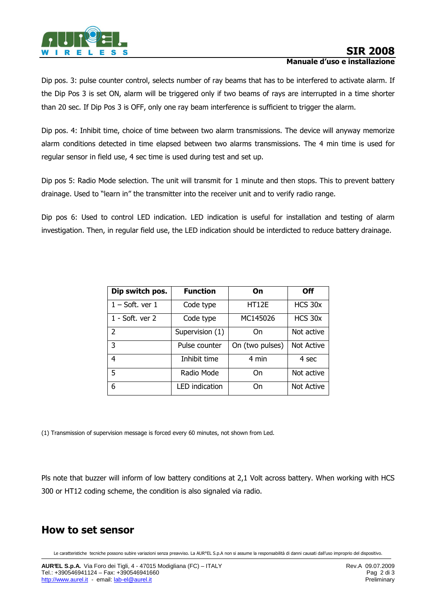

Dip pos. 3: pulse counter control, selects number of ray beams that has to be interfered to activate alarm. If the Dip Pos 3 is set ON, alarm will be triggered only if two beams of rays are interrupted in a time shorter than 20 sec. If Dip Pos 3 is OFF, only one ray beam interference is sufficient to trigger the alarm.

Dip pos. 4: Inhibit time, choice of time between two alarm transmissions. The device will anyway memorize alarm conditions detected in time elapsed between two alarms transmissions. The 4 min time is used for regular sensor in field use, 4 sec time is used during test and set up.

Dip pos 5: Radio Mode selection. The unit will transmit for 1 minute and then stops. This to prevent battery drainage. Used to "learn in" the transmitter into the receiver unit and to verify radio range.

Dip pos 6: Used to control LED indication. LED indication is useful for installation and testing of alarm investigation. Then, in regular field use, the LED indication should be interdicted to reduce battery drainage.

| Dip switch pos.     | <b>Function</b>       | On              | <b>Off</b> |
|---------------------|-----------------------|-----------------|------------|
| $1 - Soft.$ ver $1$ | Code type             | HT12E           | HCS 30x    |
| 1 - Soft. ver 2     | Code type             | MC145026        | HCS 30x    |
| $\mathcal{P}$       | Supervision (1)       | On              | Not active |
| 3                   | Pulse counter         | On (two pulses) | Not Active |
| 4                   | Inhibit time          | 4 min           | 4 sec      |
| 5                   | Radio Mode            | On              | Not active |
| 6                   | <b>LED</b> indication | On              | Not Active |

(1) Transmission of supervision message is forced every 60 minutes, not shown from Led.

Pls note that buzzer will inform of low battery conditions at 2,1 Volt across battery. When working with HCS 300 or HT12 coding scheme, the condition is also signaled via radio.

### How to set sensor

Le caratteristiche tecniche possono subire variazioni senza preavviso. La AUR°EL S.p.A non si assume la responsabilità di danni causati dall'uso improprio del dispositivo.